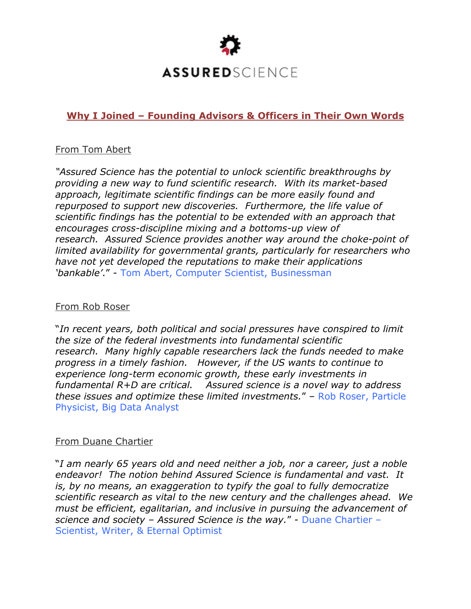

# **Why I Joined – Founding Advisors & Officers in Their Own Words**

### From Tom Abert

*"Assured Science has the potential to unlock scientific breakthroughs by providing a new way to fund scientific research. With its market-based approach, legitimate scientific findings can be more easily found and repurposed to support new discoveries. Furthermore, the life value of scientific findings has the potential to be extended with an approach that encourages cross-discipline mixing and a bottoms-up view of research. Assured Science provides another way around the choke-point of limited availability for governmental grants, particularly for researchers who have not yet developed the reputations to make their applications 'bankable'*." - Tom Abert, Computer Scientist, Businessman

#### From Rob Roser

"*In recent years, both political and social pressures have conspired to limit the size of the federal investments into fundamental scientific research. Many highly capable researchers lack the funds needed to make progress in a timely fashion. However, if the US wants to continue to experience long-term economic growth, these early investments in fundamental R+D are critical. Assured science is a novel way to address these issues and optimize these limited investments.*" – Rob Roser, Particle Physicist, Big Data Analyst

#### From Duane Chartier

"*I am nearly 65 years old and need neither a job, nor a career, just a noble endeavor! The notion behind Assured Science is fundamental and vast. It is, by no means, an exaggeration to typify the goal to fully democratize scientific research as vital to the new century and the challenges ahead. We must be efficient, egalitarian, and inclusive in pursuing the advancement of science and society – Assured Science is the way.*" - Duane Chartier – Scientist, Writer, & Eternal Optimist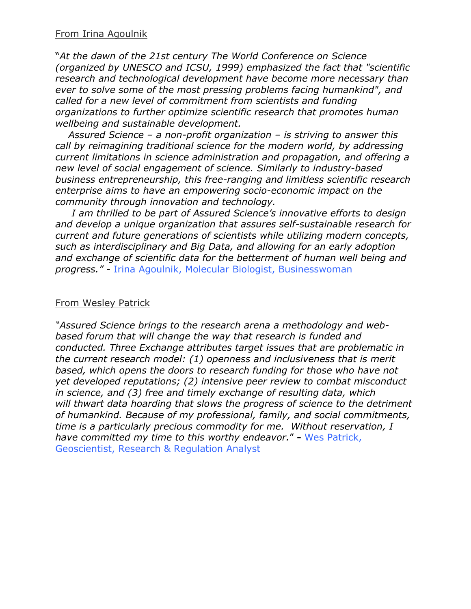"*At the dawn of the 21st century The World Conference on Science (organized by UNESCO and ICSU, 1999) emphasized the fact that "scientific research and technological development have become more necessary than ever to solve some of the most pressing problems facing humankind", and called for a new level of commitment from scientists and funding organizations to further optimize scientific research that promotes human wellbeing and sustainable development.*

*Assured Science – a non-profit organization – is striving to answer this call by reimagining traditional science for the modern world, by addressing current limitations in science administration and propagation, and offering a new level of social engagement of science. Similarly to industry-based business entrepreneurship, this free-ranging and limitless scientific research enterprise aims to have an empowering socio-economic impact on the community through innovation and technology.*

*I am thrilled to be part of Assured Science's innovative efforts to design and develop a unique organization that assures self-sustainable research for current and future generations of scientists while utilizing modern concepts, such as interdisciplinary and Big Data, and allowing for an early adoption and exchange of scientific data for the betterment of human well being and progress." -* Irina Agoulnik, Molecular Biologist, Businesswoman

### From Wesley Patrick

*"Assured Science brings to the research arena a methodology and webbased forum that will change the way that research is funded and conducted. Three Exchange attributes target issues that are problematic in the current research model: (1) openness and inclusiveness that is merit based, which opens the doors to research funding for those who have not yet developed reputations; (2) intensive peer review to combat misconduct in science, and (3) free and timely exchange of resulting data, which will thwart data hoarding that slows the progress of science to the detriment of humankind. Because of my professional, family, and social commitments, time is a particularly precious commodity for me. Without reservation, I have committed my time to this worthy endeavor.*" **-** Wes Patrick, Geoscientist, Research & Regulation Analyst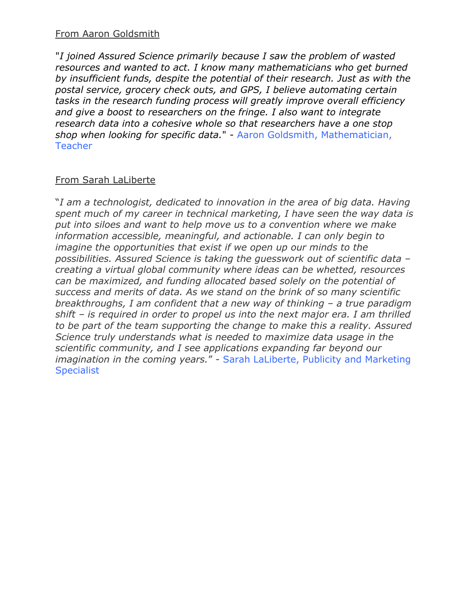## From Aaron Goldsmith

"*I joined Assured Science primarily because I saw the problem of wasted resources and wanted to act. I know many mathematicians who get burned by insufficient funds, despite the potential of their research. Just as with the postal service, grocery check outs, and GPS, I believe automating certain tasks in the research funding process will greatly improve overall efficiency and give a boost to researchers on the fringe. I also want to integrate research data into a cohesive whole so that researchers have a one stop shop when looking for specific data.*" - Aaron Goldsmith, Mathematician, **Teacher** 

# From Sarah LaLiberte

"*I am a technologist, dedicated to innovation in the area of big data. Having spent much of my career in technical marketing, I have seen the way data is put into siloes and want to help move us to a convention where we make information accessible, meaningful, and actionable. I can only begin to imagine the opportunities that exist if we open up our minds to the possibilities. Assured Science is taking the guesswork out of scientific data – creating a virtual global community where ideas can be whetted, resources can be maximized, and funding allocated based solely on the potential of success and merits of data. As we stand on the brink of so many scientific breakthroughs, I am confident that a new way of thinking – a true paradigm shift – is required in order to propel us into the next major era. I am thrilled to be part of the team supporting the change to make this a reality. Assured Science truly understands what is needed to maximize data usage in the scientific community, and I see applications expanding far beyond our imagination in the coming years.*" - Sarah LaLiberte, Publicity and Marketing **Specialist**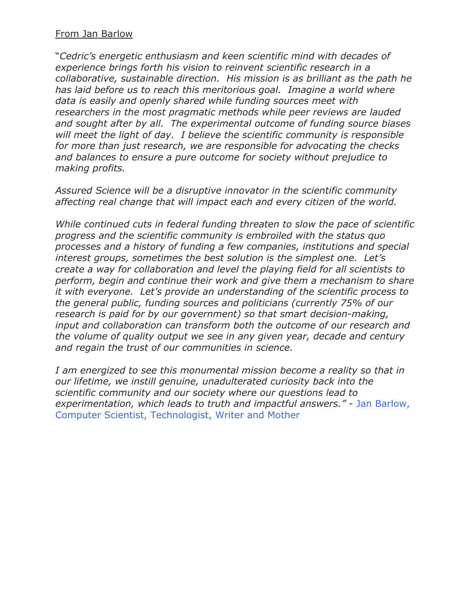## From Jan Barlow

"*Cedric's energetic enthusiasm and keen scientific mind with decades of experience brings forth his vision to reinvent scientific research in a collaborative, sustainable direction. His mission is as brilliant as the path he has laid before us to reach this meritorious goal. Imagine a world where data is easily and openly shared while funding sources meet with researchers in the most pragmatic methods while peer reviews are lauded and sought after by all. The experimental outcome of funding source biases will meet the light of day. I believe the scientific community is responsible for more than just research, we are responsible for advocating the checks and balances to ensure a pure outcome for society without prejudice to making profits.*

*Assured Science will be a disruptive innovator in the scientific community affecting real change that will impact each and every citizen of the world.*

*While continued cuts in federal funding threaten to slow the pace of scientific progress and the scientific community is embroiled with the status quo processes and a history of funding a few companies, institutions and special interest groups, sometimes the best solution is the simplest one. Let's create a way for collaboration and level the playing field for all scientists to perform, begin and continue their work and give them a mechanism to share it with everyone. Let's provide an understanding of the scientific process to the general public, funding sources and politicians (currently 75% of our research is paid for by our government) so that smart decision-making, input and collaboration can transform both the outcome of our research and the volume of quality output we see in any given year, decade and century and regain the trust of our communities in science.*

*I am energized to see this monumental mission become a reality so that in our lifetime, we instill genuine, unadulterated curiosity back into the scientific community and our society where our questions lead to experimentation, which leads to truth and impactful answers." -* Jan Barlow, Computer Scientist, Technologist, Writer and Mother